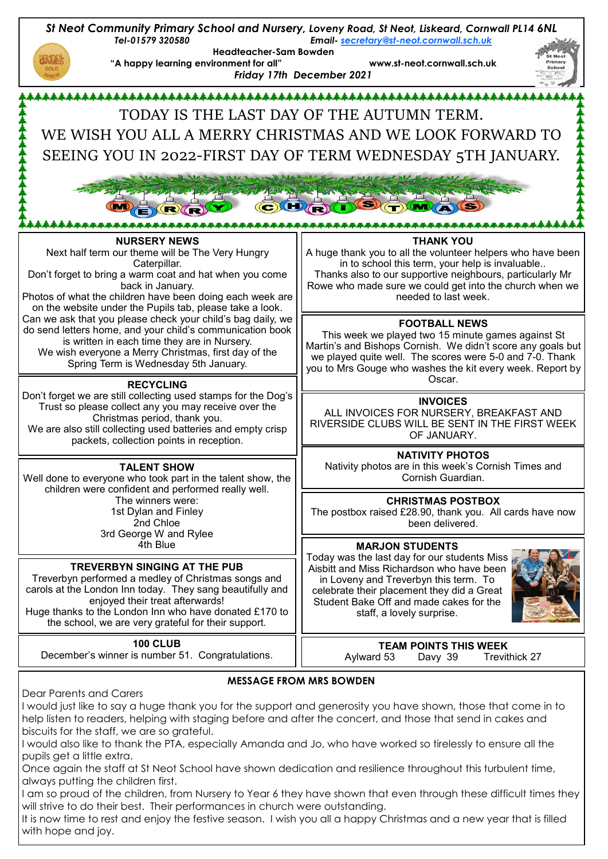